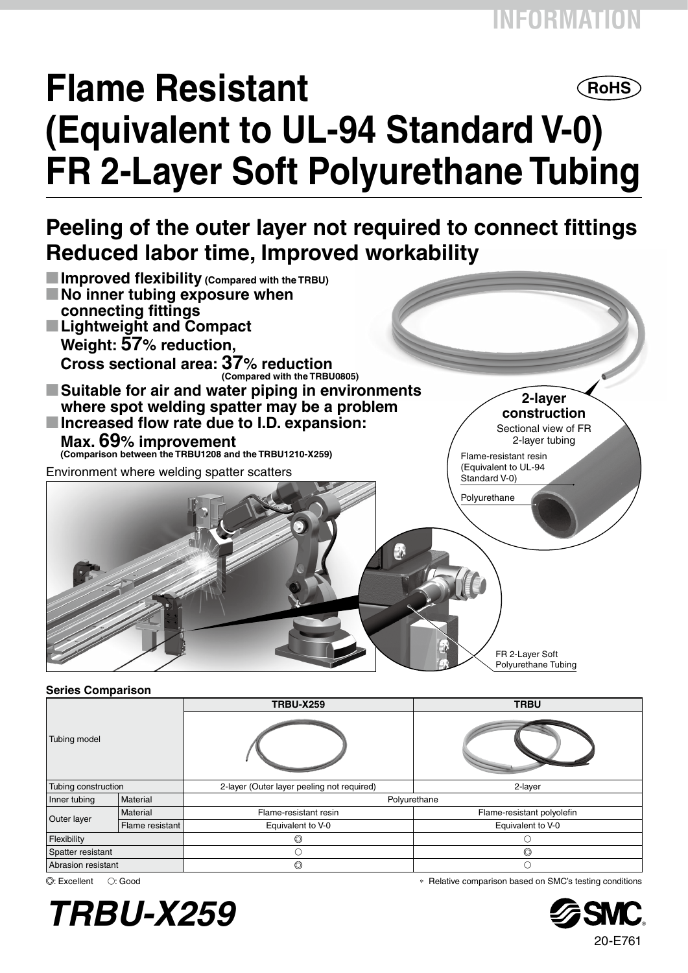# **Flame Resistant ROHS (Equivalent to UL-94 Standard V-0) FR 2-Layer Soft Polyurethane Tubing**

### **Peeling of the outer layer not required to connect fittings Reduced labor time, Improved workability**



#### **Series Comparison**

| ----------<br>Tubing model |                 | <b>TRBU-X259</b>                           | <b>TRBU</b>                |  |  |
|----------------------------|-----------------|--------------------------------------------|----------------------------|--|--|
|                            |                 |                                            |                            |  |  |
| Tubing construction        |                 | 2-layer (Outer layer peeling not required) | 2-layer                    |  |  |
| Inner tubing               | Material        |                                            | Polyurethane               |  |  |
| Outer layer                | Material        | Flame-resistant resin                      | Flame-resistant polyolefin |  |  |
|                            | Flame resistant | Equivalent to V-0                          | Equivalent to V-0          |  |  |
| Flexibility                |                 |                                            |                            |  |  |
| Spatter resistant          |                 | C                                          | $\circledcirc$             |  |  |
| Abrasion resistant         |                 | $\circledcirc$                             | O                          |  |  |



: Excellent v: Good ∗ Relative comparison based on SMC's testing conditions